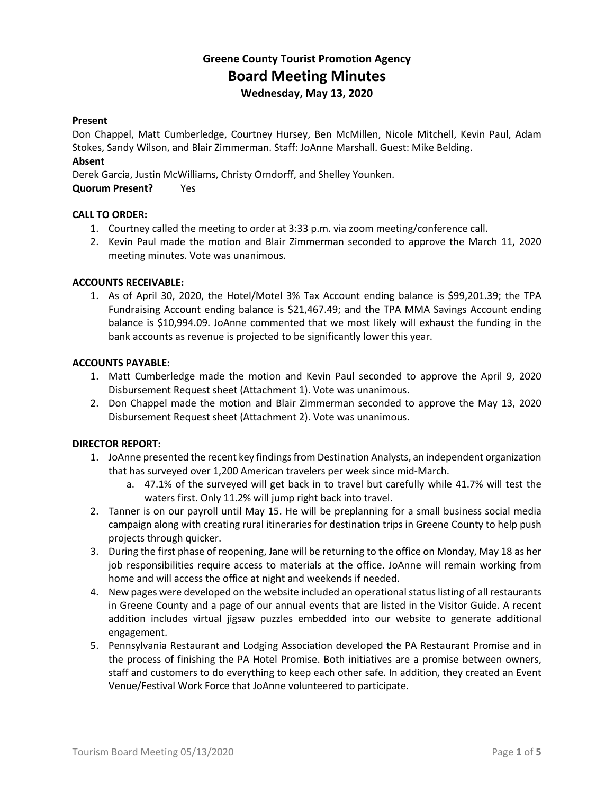## **Greene County Tourist Promotion Agency Board Meeting Minutes Wednesday, May 13, 2020**

#### **Present**

Don Chappel, Matt Cumberledge, Courtney Hursey, Ben McMillen, Nicole Mitchell, Kevin Paul, Adam Stokes, Sandy Wilson, and Blair Zimmerman. Staff: JoAnne Marshall. Guest: Mike Belding.

#### **Absent**

Derek Garcia, Justin McWilliams, Christy Orndorff, and Shelley Younken.

**Quorum Present?** Yes

#### **CALL TO ORDER:**

- 1. Courtney called the meeting to order at 3:33 p.m. via zoom meeting/conference call.
- 2. Kevin Paul made the motion and Blair Zimmerman seconded to approve the March 11, 2020 meeting minutes. Vote was unanimous.

#### **ACCOUNTS RECEIVABLE:**

1. As of April 30, 2020, the Hotel/Motel 3% Tax Account ending balance is \$99,201.39; the TPA Fundraising Account ending balance is \$21,467.49; and the TPA MMA Savings Account ending balance is \$10,994.09. JoAnne commented that we most likely will exhaust the funding in the bank accounts as revenue is projected to be significantly lower this year.

#### **ACCOUNTS PAYABLE:**

- 1. Matt Cumberledge made the motion and Kevin Paul seconded to approve the April 9, 2020 Disbursement Request sheet (Attachment 1). Vote was unanimous.
- 2. Don Chappel made the motion and Blair Zimmerman seconded to approve the May 13, 2020 Disbursement Request sheet (Attachment 2). Vote was unanimous.

#### **DIRECTOR REPORT:**

- 1. JoAnne presented the recent key findings from Destination Analysts, an independent organization that has surveyed over 1,200 American travelers per week since mid-March.
	- a. 47.1% of the surveyed will get back in to travel but carefully while 41.7% will test the waters first. Only 11.2% will jump right back into travel.
- 2. Tanner is on our payroll until May 15. He will be preplanning for a small business social media campaign along with creating rural itineraries for destination trips in Greene County to help push projects through quicker.
- 3. During the first phase of reopening, Jane will be returning to the office on Monday, May 18 as her job responsibilities require access to materials at the office. JoAnne will remain working from home and will access the office at night and weekends if needed.
- 4. New pages were developed on the website included an operational status listing of all restaurants in Greene County and a page of our annual events that are listed in the Visitor Guide. A recent addition includes virtual jigsaw puzzles embedded into our website to generate additional engagement.
- 5. Pennsylvania Restaurant and Lodging Association developed the PA Restaurant Promise and in the process of finishing the PA Hotel Promise. Both initiatives are a promise between owners, staff and customers to do everything to keep each other safe. In addition, they created an Event Venue/Festival Work Force that JoAnne volunteered to participate.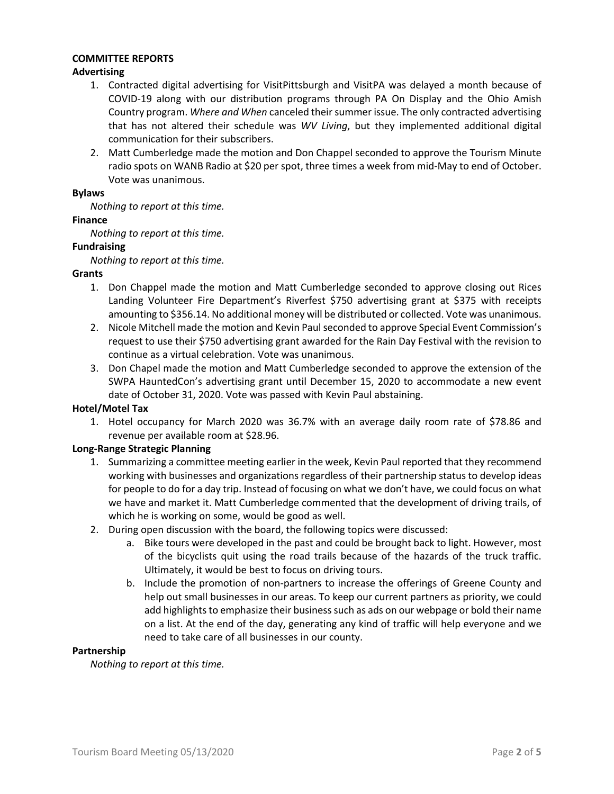#### **COMMITTEE REPORTS**

#### **Advertising**

- 1. Contracted digital advertising for VisitPittsburgh and VisitPA was delayed a month because of COVID-19 along with our distribution programs through PA On Display and the Ohio Amish Country program. *Where and When* canceled their summer issue. The only contracted advertising that has not altered their schedule was *WV Living*, but they implemented additional digital communication for their subscribers.
- 2. Matt Cumberledge made the motion and Don Chappel seconded to approve the Tourism Minute radio spots on WANB Radio at \$20 per spot, three times a week from mid-May to end of October. Vote was unanimous.

#### **Bylaws**

*Nothing to report at this time.*

#### **Finance**

*Nothing to report at this time.*

#### **Fundraising**

*Nothing to report at this time.*

#### **Grants**

- 1. Don Chappel made the motion and Matt Cumberledge seconded to approve closing out Rices Landing Volunteer Fire Department's Riverfest \$750 advertising grant at \$375 with receipts amounting to \$356.14. No additional money will be distributed or collected. Vote was unanimous.
- 2. Nicole Mitchell made the motion and Kevin Paulseconded to approve Special Event Commission's request to use their \$750 advertising grant awarded for the Rain Day Festival with the revision to continue as a virtual celebration. Vote was unanimous.
- 3. Don Chapel made the motion and Matt Cumberledge seconded to approve the extension of the SWPA HauntedCon's advertising grant until December 15, 2020 to accommodate a new event date of October 31, 2020. Vote was passed with Kevin Paul abstaining.

#### **Hotel/Motel Tax**

1. Hotel occupancy for March 2020 was 36.7% with an average daily room rate of \$78.86 and revenue per available room at \$28.96.

#### **Long-Range Strategic Planning**

- 1. Summarizing a committee meeting earlier in the week, Kevin Paul reported that they recommend working with businesses and organizations regardless of their partnership status to develop ideas for people to do for a day trip. Instead of focusing on what we don't have, we could focus on what we have and market it. Matt Cumberledge commented that the development of driving trails, of which he is working on some, would be good as well.
- 2. During open discussion with the board, the following topics were discussed:
	- a. Bike tours were developed in the past and could be brought back to light. However, most of the bicyclists quit using the road trails because of the hazards of the truck traffic. Ultimately, it would be best to focus on driving tours.
	- b. Include the promotion of non-partners to increase the offerings of Greene County and help out small businesses in our areas. To keep our current partners as priority, we could add highlights to emphasize their business such as ads on our webpage or bold their name on a list. At the end of the day, generating any kind of traffic will help everyone and we need to take care of all businesses in our county.

#### **Partnership**

*Nothing to report at this time.*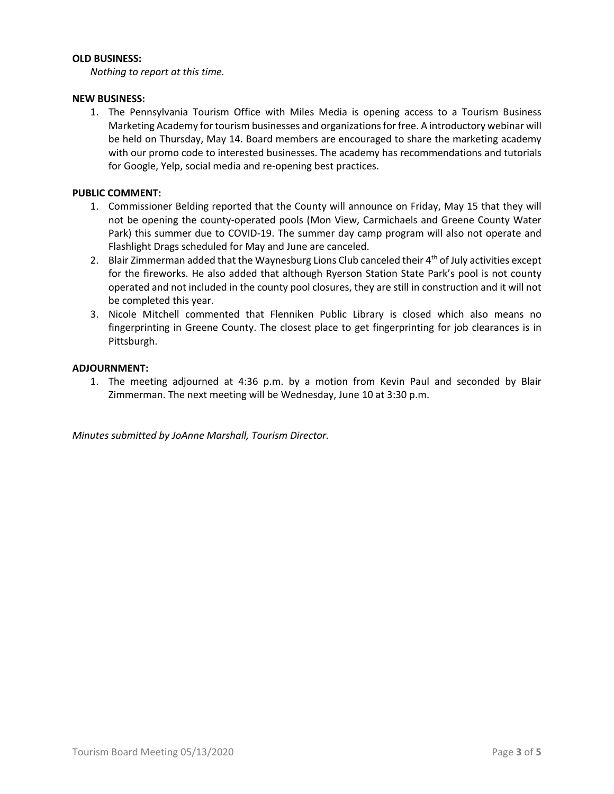#### **OLD BUSINESS:**

*Nothing to report at this time.*

#### **NEW BUSINESS:**

1. The Pennsylvania Tourism Office with Miles Media is opening access to a Tourism Business Marketing Academy for tourism businesses and organizations for free. A introductory webinar will be held on Thursday, May 14. Board members are encouraged to share the marketing academy with our promo code to interested businesses. The academy has recommendations and tutorials for Google, Yelp, social media and re-opening best practices.

#### **PUBLIC COMMENT:**

- 1. Commissioner Belding reported that the County will announce on Friday, May 15 that they will not be opening the county-operated pools (Mon View, Carmichaels and Greene County Water Park) this summer due to COVID-19. The summer day camp program will also not operate and Flashlight Drags scheduled for May and June are canceled.
- 2. Blair Zimmerman added that the Waynesburg Lions Club canceled their  $4<sup>th</sup>$  of July activities except for the fireworks. He also added that although Ryerson Station State Park's pool is not county operated and not included in the county pool closures, they are still in construction and it will not be completed this year.
- 3. Nicole Mitchell commented that Flenniken Public Library is closed which also means no fingerprinting in Greene County. The closest place to get fingerprinting for job clearances is in Pittsburgh.

#### **ADJOURNMENT:**

1. The meeting adjourned at 4:36 p.m. by a motion from Kevin Paul and seconded by Blair Zimmerman. The next meeting will be Wednesday, June 10 at 3:30 p.m.

*Minutes submitted by JoAnne Marshall, Tourism Director.*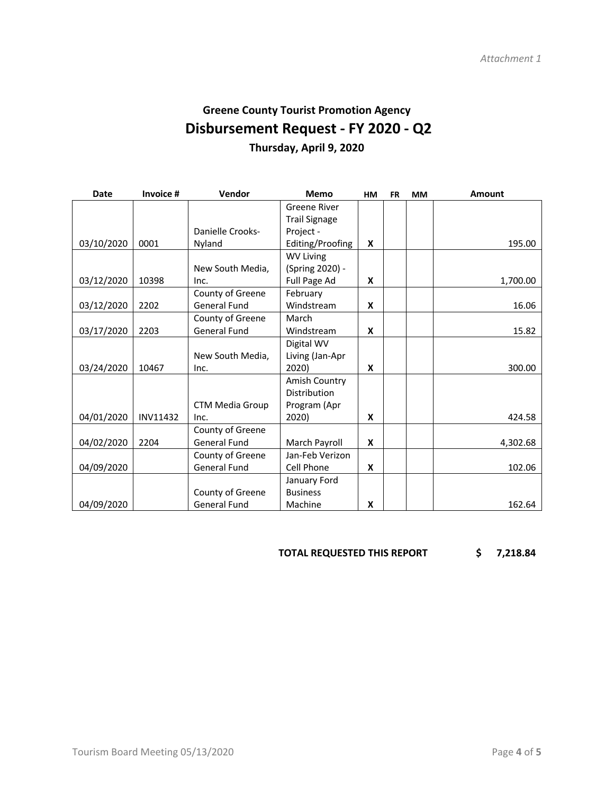# **Greene County Tourist Promotion Agency Disbursement Request - FY 2020 - Q2**

**Thursday, April 9, 2020**

| <b>Date</b> | Invoice #       | Vendor                 | <b>Memo</b>          | HM | <b>FR</b> | <b>MM</b> | <b>Amount</b> |
|-------------|-----------------|------------------------|----------------------|----|-----------|-----------|---------------|
|             |                 |                        | Greene River         |    |           |           |               |
|             |                 |                        | <b>Trail Signage</b> |    |           |           |               |
|             |                 | Danielle Crooks-       | Project -            |    |           |           |               |
| 03/10/2020  | 0001            | Nyland                 | Editing/Proofing     | X  |           |           | 195.00        |
|             |                 |                        | <b>WV Living</b>     |    |           |           |               |
|             |                 | New South Media,       | (Spring 2020) -      |    |           |           |               |
| 03/12/2020  | 10398           | Inc.                   | Full Page Ad         | X  |           |           | 1,700.00      |
|             |                 | County of Greene       | February             |    |           |           |               |
| 03/12/2020  | 2202            | <b>General Fund</b>    | Windstream           | X  |           |           | 16.06         |
|             |                 | County of Greene       | March                |    |           |           |               |
| 03/17/2020  | 2203            | <b>General Fund</b>    | Windstream           | X  |           |           | 15.82         |
|             |                 |                        | Digital WV           |    |           |           |               |
|             |                 | New South Media,       | Living (Jan-Apr      |    |           |           |               |
| 03/24/2020  | 10467           | Inc.                   | 2020)                | X  |           |           | 300.00        |
|             |                 |                        | Amish Country        |    |           |           |               |
|             |                 |                        | Distribution         |    |           |           |               |
|             |                 | <b>CTM Media Group</b> | Program (Apr         |    |           |           |               |
| 04/01/2020  | <b>INV11432</b> | Inc.                   | 2020)                | X  |           |           | 424.58        |
|             |                 | County of Greene       |                      |    |           |           |               |
| 04/02/2020  | 2204            | <b>General Fund</b>    | March Payroll        | X  |           |           | 4,302.68      |
|             |                 | County of Greene       | Jan-Feb Verizon      |    |           |           |               |
| 04/09/2020  |                 | <b>General Fund</b>    | Cell Phone           | X  |           |           | 102.06        |
|             |                 |                        | January Ford         |    |           |           |               |
|             |                 | County of Greene       | <b>Business</b>      |    |           |           |               |
| 04/09/2020  |                 | <b>General Fund</b>    | Machine              | X  |           |           | 162.64        |

**TOTAL REQUESTED THIS REPORT \$ 7,218.84**